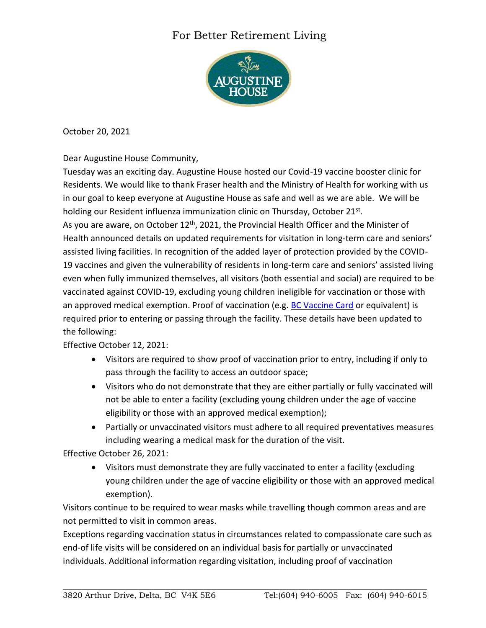## For Better Retirement Living



October 20, 2021

Dear Augustine House Community,

Tuesday was an exciting day. Augustine House hosted our Covid-19 vaccine booster clinic for Residents. We would like to thank Fraser health and the Ministry of Health for working with us in our goal to keep everyone at Augustine House as safe and well as we are able. We will be holding our Resident influenza immunization clinic on Thursday, October 21<sup>st</sup>. As you are aware, on October  $12<sup>th</sup>$ , 2021, the Provincial Health Officer and the Minister of Health announced details on updated requirements for visitation in long-term care and seniors' assisted living facilities. In recognition of the added layer of protection provided by the COVID-19 vaccines and given the vulnerability of residents in long-term care and seniors' assisted living even when fully immunized themselves, all visitors (both essential and social) are required to be vaccinated against COVID-19, excluding young children ineligible for vaccination or those with an approved medical exemption. Proof of vaccination (e.g. [BC Vaccine Card](https://www2.gov.bc.ca/gov/content/covid-19/vaccine/proof) or equivalent) is required prior to entering or passing through the facility. These details have been updated to the following:

## Effective October 12, 2021:

- Visitors are required to show proof of vaccination prior to entry, including if only to pass through the facility to access an outdoor space;
- Visitors who do not demonstrate that they are either partially or fully vaccinated will not be able to enter a facility (excluding young children under the age of vaccine eligibility or those with an approved medical exemption);
- Partially or unvaccinated visitors must adhere to all required preventatives measures including wearing a medical mask for the duration of the visit.

Effective October 26, 2021:

• Visitors must demonstrate they are fully vaccinated to enter a facility (excluding young children under the age of vaccine eligibility or those with an approved medical exemption).

Visitors continue to be required to wear masks while travelling though common areas and are not permitted to visit in common areas.

Exceptions regarding vaccination status in circumstances related to compassionate care such as end-of life visits will be considered on an individual basis for partially or unvaccinated individuals. Additional information regarding visitation, including proof of vaccination